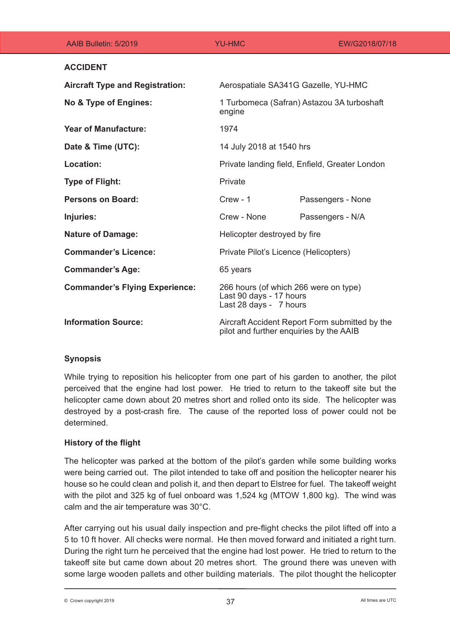| AAIB Bulletin: 5/2019                  | <b>YU-HMC</b>                                                                              | EW/G2018/07/18    |
|----------------------------------------|--------------------------------------------------------------------------------------------|-------------------|
| <b>ACCIDENT</b>                        |                                                                                            |                   |
| <b>Aircraft Type and Registration:</b> | Aerospatiale SA341G Gazelle, YU-HMC                                                        |                   |
| No & Type of Engines:                  | 1 Turbomeca (Safran) Astazou 3A turboshaft<br>engine                                       |                   |
| <b>Year of Manufacture:</b>            | 1974                                                                                       |                   |
| Date & Time (UTC):                     | 14 July 2018 at 1540 hrs                                                                   |                   |
| <b>Location:</b>                       | Private landing field, Enfield, Greater London                                             |                   |
| <b>Type of Flight:</b>                 | Private                                                                                    |                   |
| <b>Persons on Board:</b>               | $Crew - 1$                                                                                 | Passengers - None |
| Injuries:                              | Crew - None                                                                                | Passengers - N/A  |
| <b>Nature of Damage:</b>               | Helicopter destroyed by fire                                                               |                   |
| <b>Commander's Licence:</b>            | Private Pilot's Licence (Helicopters)                                                      |                   |
| <b>Commander's Age:</b>                | 65 years                                                                                   |                   |
| <b>Commander's Flying Experience:</b>  | 266 hours (of which 266 were on type)<br>Last 90 days - 17 hours<br>Last 28 days - 7 hours |                   |
| <b>Information Source:</b>             | Aircraft Accident Report Form submitted by the<br>pilot and further enquiries by the AAIB  |                   |

# **Synopsis**

While trying to reposition his helicopter from one part of his garden to another, the pilot perceived that the engine had lost power. He tried to return to the takeoff site but the helicopter came down about 20 metres short and rolled onto its side. The helicopter was destroyed by a post-crash fire. The cause of the reported loss of power could not be determined.

# **History of the flight**

The helicopter was parked at the bottom of the pilot's garden while some building works were being carried out. The pilot intended to take off and position the helicopter nearer his house so he could clean and polish it, and then depart to Elstree for fuel. The takeoff weight with the pilot and 325 kg of fuel onboard was 1,524 kg (MTOW 1,800 kg). The wind was calm and the air temperature was 30°C.

After carrying out his usual daily inspection and pre-flight checks the pilot lifted off into a 5 to 10 ft hover. All checks were normal. He then moved forward and initiated a right turn. During the right turn he perceived that the engine had lost power. He tried to return to the takeoff site but came down about 20 metres short. The ground there was uneven with some large wooden pallets and other building materials. The pilot thought the helicopter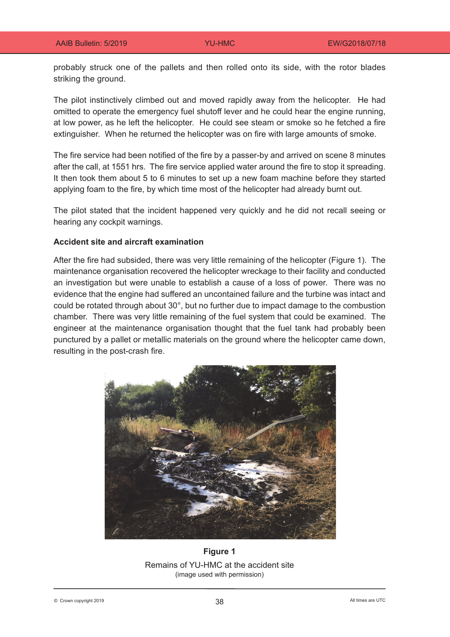probably struck one of the pallets and then rolled onto its side, with the rotor blades striking the ground.

The pilot instinctively climbed out and moved rapidly away from the helicopter. He had omitted to operate the emergency fuel shutoff lever and he could hear the engine running, at low power, as he left the helicopter. He could see steam or smoke so he fetched a fire extinguisher. When he returned the helicopter was on fire with large amounts of smoke.

The fire service had been notified of the fire by a passer-by and arrived on scene 8 minutes after the call, at 1551 hrs. The fire service applied water around the fire to stop it spreading. It then took them about 5 to 6 minutes to set up a new foam machine before they started applying foam to the fire, by which time most of the helicopter had already burnt out.

The pilot stated that the incident happened very quickly and he did not recall seeing or hearing any cockpit warnings.

## **Accident site and aircraft examination**

After the fire had subsided, there was very little remaining of the helicopter (Figure 1). The maintenance organisation recovered the helicopter wreckage to their facility and conducted an investigation but were unable to establish a cause of a loss of power. There was no evidence that the engine had suffered an uncontained failure and the turbine was intact and could be rotated through about 30°, but no further due to impact damage to the combustion chamber. There was very little remaining of the fuel system that could be examined. The engineer at the maintenance organisation thought that the fuel tank had probably been punctured by a pallet or metallic materials on the ground where the helicopter came down, resulting in the post-crash fire.



**Figure 1** Remains of YU-HMC at the accident site (image used with permission)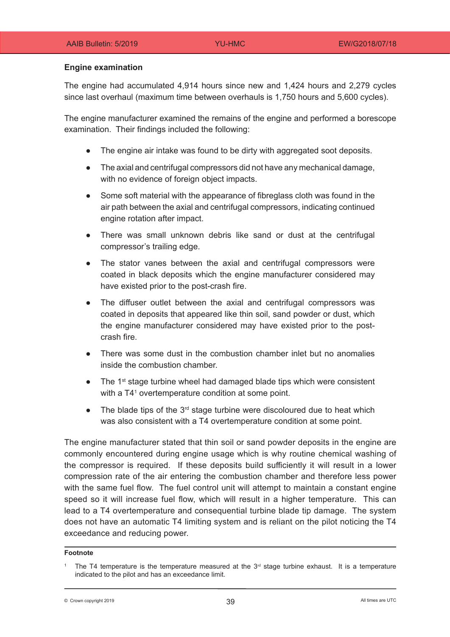## **Engine examination**

The engine had accumulated 4,914 hours since new and 1,424 hours and 2,279 cycles since last overhaul (maximum time between overhauls is 1,750 hours and 5,600 cycles).

The engine manufacturer examined the remains of the engine and performed a borescope examination. Their findings included the following:

- The engine air intake was found to be dirty with aggregated soot deposits.
- The axial and centrifugal compressors did not have any mechanical damage, with no evidence of foreign object impacts.
- Some soft material with the appearance of fibreglass cloth was found in the air path between the axial and centrifugal compressors, indicating continued engine rotation after impact.
- There was small unknown debris like sand or dust at the centrifugal compressor's trailing edge.
- The stator vanes between the axial and centrifugal compressors were coated in black deposits which the engine manufacturer considered may have existed prior to the post-crash fire.
- The diffuser outlet between the axial and centrifugal compressors was coated in deposits that appeared like thin soil, sand powder or dust, which the engine manufacturer considered may have existed prior to the postcrash fire.
- There was some dust in the combustion chamber inlet but no anomalies inside the combustion chamber.
- The  $1<sup>st</sup>$  stage turbine wheel had damaged blade tips which were consistent with a T41 overtemperature condition at some point.
- The blade tips of the  $3<sup>rd</sup>$  stage turbine were discoloured due to heat which was also consistent with a T4 overtemperature condition at some point.

The engine manufacturer stated that thin soil or sand powder deposits in the engine are commonly encountered during engine usage which is why routine chemical washing of the compressor is required. If these deposits build sufficiently it will result in a lower compression rate of the air entering the combustion chamber and therefore less power with the same fuel flow. The fuel control unit will attempt to maintain a constant engine speed so it will increase fuel flow, which will result in a higher temperature. This can lead to a T4 overtemperature and consequential turbine blade tip damage. The system does not have an automatic T4 limiting system and is reliant on the pilot noticing the T4 exceedance and reducing power.

#### **Footnote**

 $\odot$  Crown copyright 2019  $\odot$   $\sim$  2019

The T4 temperature is the temperature measured at the  $3<sup>rd</sup>$  stage turbine exhaust. It is a temperature indicated to the pilot and has an exceedance limit.